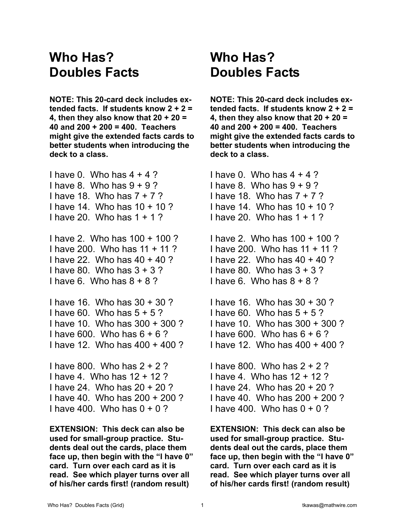## **Who Has? Doubles Facts**

**NOTE: This 20-card deck includes extended facts. If students know 2 + 2 = 4, then they also know that 20 + 20 = 40 and 200 + 200 = 400. Teachers might give the extended facts cards to better students when introducing the deck to a class.** 

I have 0. Who has  $4 + 4$ ? I have 8. Who has  $9 + 9$ ? I have 18. Who has 7 + 7 ? I have 14. Who has 10 + 10 ? I have 20. Who has 1 + 1 ?

I have 2. Who has 100 + 100 ? I have 200. Who has 11 + 11 ? I have 22. Who has 40 + 40 ? I have 80. Who has  $3 + 3$  ? I have 6. Who has  $8 + 8$  ?

I have 16. Who has 30 + 30 ? I have 60. Who has  $5 + 5$ ? I have 10. Who has 300 + 300 ? I have 600. Who has 6 + 6 ? I have 12. Who has 400 + 400 ?

I have 800. Who has 2 + 2 ? I have 4. Who has 12 + 12 ? I have 24. Who has 20 + 20 ? I have 40. Who has 200 + 200 ? I have 400. Who has  $0 + 0$ ?

**EXTENSION: This deck can also be used for small-group practice. Students deal out the cards, place them face up, then begin with the "I have 0" card. Turn over each card as it is read. See which player turns over all of his/her cards first! (random result)** 

## **Who Has? Doubles Facts**

**NOTE: This 20-card deck includes extended facts. If students know 2 + 2 = 4, then they also know that 20 + 20 = 40 and 200 + 200 = 400. Teachers might give the extended facts cards to better students when introducing the deck to a class.** 

I have  $0.$  Who has  $4 + 4$  ? I have 8. Who has  $9 + 9$ ? I have 18. Who has  $7 + 7$ ? I have 14. Who has 10 + 10 ? I have 20. Who has 1 + 1 ? I have 2. Who has 100 + 100 ? I have 200. Who has 11 + 11 ?

I have 22. Who has 40 + 40 ? I have 80. Who has 3 + 3 ? I have 6. Who has  $8 + 8$  ?

I have 16. Who has 30 + 30 ? I have 60. Who has  $5 + 5$ ? I have 10. Who has 300 + 300 ? I have 600. Who has  $6 + 6$  ? I have 12. Who has 400 + 400 ?

I have 800. Who has 2 + 2 ? I have 4. Who has 12 + 12 ? I have 24. Who has 20 + 20 ? I have 40. Who has 200 + 200 ? I have 400. Who has  $0 + 0$ ?

**EXTENSION: This deck can also be used for small-group practice. Students deal out the cards, place them face up, then begin with the "I have 0" card. Turn over each card as it is read. See which player turns over all of his/her cards first! (random result)**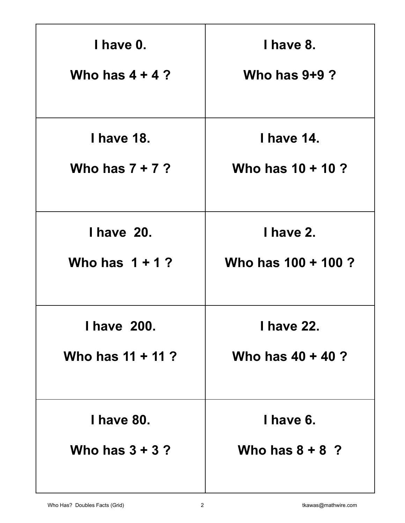| I have 0.           | I have 8.           |
|---------------------|---------------------|
| Who has $4 + 4$ ?   | Who has $9+9$ ?     |
|                     |                     |
| <b>I have 18.</b>   | <b>I have 14.</b>   |
| Who has $7 + 7$ ?   | Who has $10 + 10$ ? |
|                     |                     |
| <b>I have 20.</b>   | I have 2.           |
| Who has $1 + 1$ ?   | Who has 100 + 100 ? |
|                     |                     |
| <b>I have 200.</b>  | <b>I have 22.</b>   |
| Who has $11 + 11$ ? | Who has $40 + 40$ ? |
|                     |                     |
| <b>I have 80.</b>   | I have 6.           |
| Who has $3 + 3$ ?   | Who has $8 + 8$ ?   |
|                     |                     |